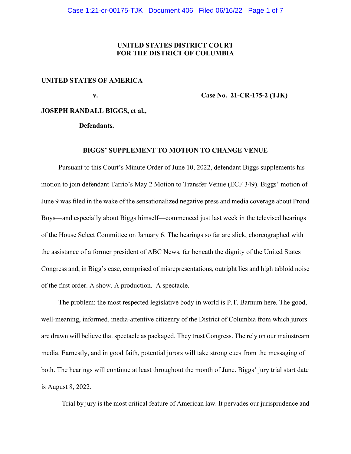## **UNITED STATES DISTRICT COURT FOR THE DISTRICT OF COLUMBIA**

#### **UNITED STATES OF AMERICA**

 **v. Case No. 21-CR-175-2 (TJK)** 

## **JOSEPH RANDALL BIGGS, et al.,**

 **Defendants.** 

#### **BIGGS' SUPPLEMENT TO MOTION TO CHANGE VENUE**

Pursuant to this Court's Minute Order of June 10, 2022, defendant Biggs supplements his motion to join defendant Tarrio's May 2 Motion to Transfer Venue (ECF 349). Biggs' motion of June 9 was filed in the wake of the sensationalized negative press and media coverage about Proud Boys—and especially about Biggs himself—commenced just last week in the televised hearings of the House Select Committee on January 6. The hearings so far are slick, choreographed with the assistance of a former president of ABC News, far beneath the dignity of the United States Congress and, in Bigg's case, comprised of misrepresentations, outright lies and high tabloid noise of the first order. A show. A production. A spectacle.

 The problem: the most respected legislative body in world is P.T. Barnum here. The good, well-meaning, informed, media-attentive citizenry of the District of Columbia from which jurors are drawn will believe that spectacle as packaged. They trust Congress. The rely on our mainstream media. Earnestly, and in good faith, potential jurors will take strong cues from the messaging of both. The hearings will continue at least throughout the month of June. Biggs' jury trial start date is August 8, 2022.

Trial by jury is the most critical feature of American law. It pervades our jurisprudence and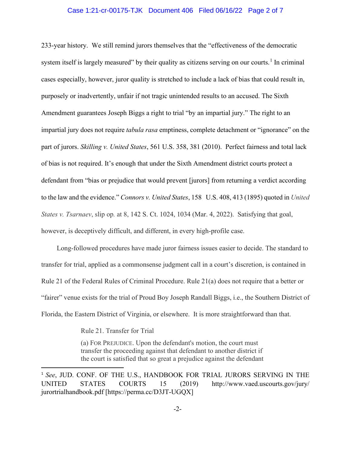#### Case 1:21-cr-00175-TJK Document 406 Filed 06/16/22 Page 2 of 7

233-year history. We still remind jurors themselves that the "effectiveness of the democratic system itself is largely measured" by their quality as citizens serving on our courts.<sup>[1](#page-1-0)</sup> In criminal cases especially, however, juror quality is stretched to include a lack of bias that could result in, purposely or inadvertently, unfair if not tragic unintended results to an accused. The Sixth Amendment guarantees Joseph Biggs a right to trial "by an impartial jury." The right to an impartial jury does not require *tabula rasa* emptiness, complete detachment or "ignorance" on the part of jurors. *Skilling v. United States*, 561 U.S. 358, 381 (2010). Perfect fairness and total lack of bias is not required. It's enough that under the Sixth Amendment district courts protect a defendant from "bias or prejudice that would prevent [jurors] from returning a verdict according to the law and the evidence." *Connors v. United States*, 158 U.S. 408, 413 (1895) quoted in *United States v. Tsarnaev*, slip op*.* at 8, 142 S. Ct. 1024, 1034 (Mar. 4, 2022). Satisfying that goal, however, is deceptively difficult, and different, in every high-profile case.

 Long-followed procedures have made juror fairness issues easier to decide. The standard to transfer for trial, applied as a commonsense judgment call in a court's discretion, is contained in Rule 21 of the Federal Rules of Criminal Procedure. Rule 21(a) does not require that a better or "fairer" venue exists for the trial of Proud Boy Joseph Randall Biggs, i.e., the Southern District of Florida, the Eastern District of Virginia, or elsewhere. It is more straightforward than that.

Rule 21. Transfer for Trial

 (a) FOR PREJUDICE. Upon the defendant's motion, the court must transfer the proceeding against that defendant to another district if the court is satisfied that so great a prejudice against the defendant

<span id="page-1-0"></span><sup>1</sup> *See*, JUD. CONF. OF THE U.S., HANDBOOK FOR TRIAL JURORS SERVING IN THE UNITED STATES COURTS 15 (2019) http://www.vaed.uscourts.gov/jury/ jurortrialhandbook.pdf [https://perma.cc/D3JT-UGQX]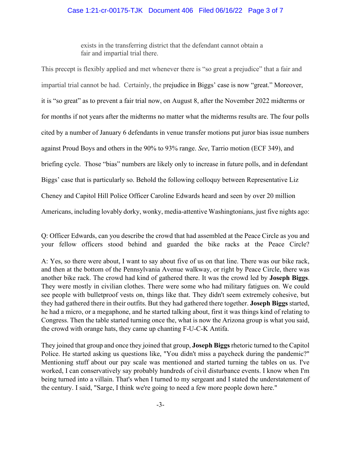### Case 1:21-cr-00175-TJK Document 406 Filed 06/16/22 Page 3 of 7

 exists in the transferring district that the defendant cannot obtain a fair and impartial trial there.

This precept is flexibly applied and met whenever there is "so great a prejudice" that a fair and impartial trial cannot be had. Certainly, the prejudice in Biggs' case is now "great." Moreover, it is "so great" as to prevent a fair trial now, on August 8, after the November 2022 midterms or for months if not years after the midterms no matter what the midterms results are. The four polls cited by a number of January 6 defendants in venue transfer motions put juror bias issue numbers against Proud Boys and others in the 90% to 93% range. *See*, Tarrio motion (ECF 349), and briefing cycle. Those "bias" numbers are likely only to increase in future polls, and in defendant Biggs' case that is particularly so. Behold the following colloquy between Representative Liz Cheney and Capitol Hill Police Officer Caroline Edwards heard and seen by over 20 million Americans, including lovably dorky, wonky, media-attentive Washingtonians, just five nights ago:

Q: Officer Edwards, can you describe the crowd that had assembled at the Peace Circle as you and your fellow officers stood behind and guarded the bike racks at the Peace Circle?

A: Yes, so there were about, I want to say about five of us on that line. There was our bike rack, and then at the bottom of the Pennsylvania Avenue walkway, or right by Peace Circle, there was another bike rack. The crowd had kind of gathered there. It was the crowd led by **Joseph Biggs**. They were mostly in civilian clothes. There were some who had military fatigues on. We could see people with bulletproof vests on, things like that. They didn't seem extremely cohesive, but they had gathered there in their outfits. But they had gathered there together. **Joseph Biggs** started, he had a micro, or a megaphone, and he started talking about, first it was things kind of relating to Congress. Then the table started turning once the, what is now the Arizona group is what you said, the crowd with orange hats, they came up chanting F-U-C-K Antifa.

They joined that group and once they joined that group, **Joseph Biggs**rhetoric turned to the Capitol Police. He started asking us questions like, "You didn't miss a paycheck during the pandemic?" Mentioning stuff about our pay scale was mentioned and started turning the tables on us. I've worked, I can conservatively say probably hundreds of civil disturbance events. I know when I'm being turned into a villain. That's when I turned to my sergeant and I stated the understatement of the century. I said, "Sarge, I think we're going to need a few more people down here."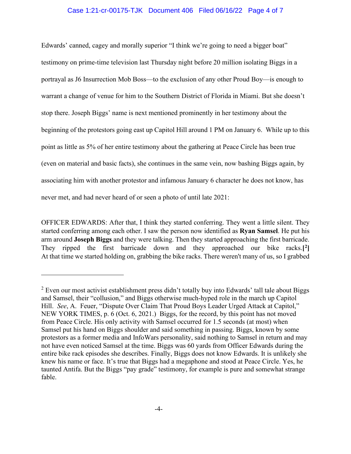### Case 1:21-cr-00175-TJK Document 406 Filed 06/16/22 Page 4 of 7

Edwards' canned, cagey and morally superior "I think we're going to need a bigger boat" testimony on prime-time television last Thursday night before 20 million isolating Biggs in a portrayal as J6 Insurrection Mob Boss—to the exclusion of any other Proud Boy—is enough to warrant a change of venue for him to the Southern District of Florida in Miami. But she doesn't stop there. Joseph Biggs' name is next mentioned prominently in her testimony about the beginning of the protestors going east up Capitol Hill around 1 PM on January 6. While up to this point as little as 5% of her entire testimony about the gathering at Peace Circle has been true (even on material and basic facts), she continues in the same vein, now bashing Biggs again, by associating him with another protestor and infamous January 6 character he does not know, has never met, and had never heard of or seen a photo of until late 2021:

OFFICER EDWARDS: After that, I think they started conferring. They went a little silent. They started conferring among each other. I saw the person now identified as **Ryan Samsel**. He put his arm around **Joseph Biggs** and they were talking. Then they started approaching the first barricade. They ripped the first barricade down and they approached our bike racks.**[[2](#page-3-0)]** At that time we started holding on, grabbing the bike racks. There weren't many of us, so I grabbed

<span id="page-3-0"></span> $2$  Even our most activist establishment press didn't totally buy into Edwards' tall tale about Biggs and Samsel, their "collusion," and Biggs otherwise much-hyped role in the march up Capitol Hill. *See*, A. Feuer, "Dispute Over Claim That Proud Boys Leader Urged Attack at Capitol," NEW YORK TIMES, p. 6 (Oct. 6, 2021.) Biggs, for the record, by this point has not moved from Peace Circle. His only activity with Samsel occurred for 1.5 seconds (at most) when Samsel put his hand on Biggs shoulder and said something in passing. Biggs, known by some protestors as a former media and InfoWars personality, said nothing to Samsel in return and may not have even noticed Samsel at the time. Biggs was 60 yards from Officer Edwards during the entire bike rack episodes she describes. Finally, Biggs does not know Edwards. It is unlikely she knew his name or face. It's true that Biggs had a megaphone and stood at Peace Circle. Yes, he taunted Antifa. But the Biggs "pay grade" testimony, for example is pure and somewhat strange fable.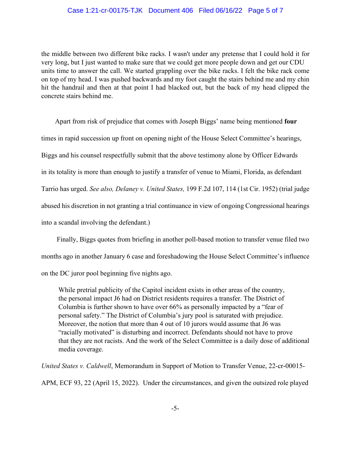### Case 1:21-cr-00175-TJK Document 406 Filed 06/16/22 Page 5 of 7

the middle between two different bike racks. I wasn't under any pretense that I could hold it for very long, but I just wanted to make sure that we could get more people down and get our CDU units time to answer the call. We started grappling over the bike racks. I felt the bike rack come on top of my head. I was pushed backwards and my foot caught the stairs behind me and my chin hit the handrail and then at that point I had blacked out, but the back of my head clipped the concrete stairs behind me.

 Apart from risk of prejudice that comes with Joseph Biggs' name being mentioned **four** times in rapid succession up front on opening night of the House Select Committee's hearings, Biggs and his counsel respectfully submit that the above testimony alone by Officer Edwards in its totality is more than enough to justify a transfer of venue to Miami, Florida, as defendant Tarrio has urged. *See also, Delaney v. United States,* 199 F.2d 107, 114 (1st Cir. 1952) (trial judge abused his discretion in not granting a trial continuance in view of ongoing Congressional hearings into a scandal involving the defendant.)

 Finally, Biggs quotes from briefing in another poll-based motion to transfer venue filed two months ago in another January 6 case and foreshadowing the House Select Committee's influence on the DC juror pool beginning five nights ago.

 While pretrial publicity of the Capitol incident exists in other areas of the country, the personal impact J6 had on District residents requires a transfer. The District of Columbia is further shown to have over 66% as personally impacted by a "fear of personal safety." The District of Columbia's jury pool is saturated with prejudice. Moreover, the notion that more than 4 out of 10 jurors would assume that J6 was "racially motivated" is disturbing and incorrect. Defendants should not have to prove that they are not racists. And the work of the Select Committee is a daily dose of additional media coverage.

*United States v. Caldwell*, Memorandum in Support of Motion to Transfer Venue, 22-cr-00015- APM, ECF 93, 22 (April 15, 2022). Under the circumstances, and given the outsized role played

-5-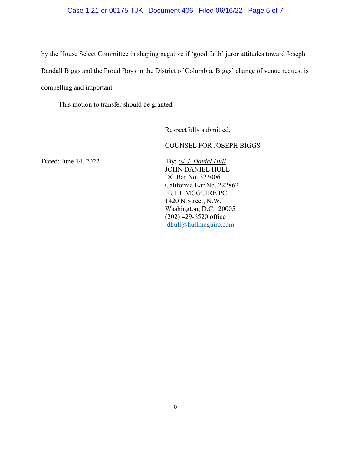# Case 1:21-cr-00175-TJK Document 406 Filed 06/16/22 Page 6 of 7

by the House Select Committee in shaping negative if 'good faith' juror attitudes toward Joseph Randall Biggs and the Proud Boys in the District of Columbia, Biggs' change of venue request is compelling and important.

This motion to transfer should be granted.

Respectfully submitted,

COUNSEL FOR JOSEPH BIGGS

Dated: June 14, 2022 By: /s/ *J. Daniel Hull*  JOHN DANIEL HULL DC Bar No. 323006 California Bar No. 222862 HULL MCGUIRE PC 1420 N Street, N.W. Washington, D.C. 20005 (202) 429-6520 office [jdhull@hullmcguire.com](mailto:jdhull@hullmcguire.com)